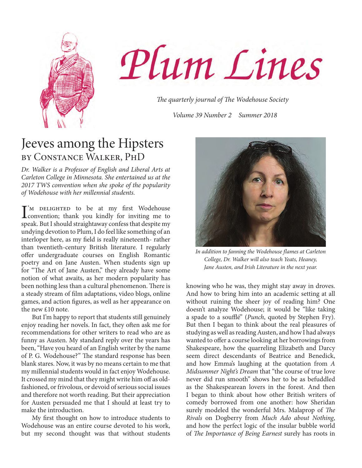



*The quarterly journal of The Wodehouse Society*

*Volume 39 Number 2 Summer 2018*

### Jeeves among the Hipsters by Constance Walker, PhD

*Dr. Walker is a Professor of English and Liberal Arts at Carleton College in Minnesota. She entertained us at the 2017 TWS convention when she spoke of the popularity of Wodehouse with her millennial students.* 

 $\int_{\text{convention}}^{\infty}$  DELIGHTED to be at my first Wodehouse<br>convention; thank you kindly for inviting me to convention; thank you kindly for inviting me to speak. But I should straightaway confess that despite my undying devotion to Plum, I do feel like something of an interloper here, as my field is really nineteenth- rather than twentieth-century British literature. I regularly offer undergraduate courses on English Romantic poetry and on Jane Austen. When students sign up for "The Art of Jane Austen," they already have some notion of what awaits, as her modern popularity has been nothing less than a cultural phenomenon. There is a steady stream of film adaptations, video blogs, online games, and action figures, as well as her appearance on the new £10 note.

But I'm happy to report that students still genuinely enjoy reading her novels. In fact, they often ask me for recommendations for other writers to read who are as funny as Austen. My standard reply over the years has been, "Have you heard of an English writer by the name of P. G. Wodehouse?" The standard response has been blank stares. Now, it was by no means certain to me that my millennial students would in fact enjoy Wodehouse. It crossed my mind that they might write him off as oldfashioned, or frivolous, or devoid of serious social issues and therefore not worth reading. But their appreciation for Austen persuaded me that I should at least try to make the introduction.

My first thought on how to introduce students to Wodehouse was an entire course devoted to his work, but my second thought was that without students



*In addition to fanning the Wodehouse flames at Carleton College, Dr. Walker will also teach Yeats, Heaney, Jane Austen, and Irish Literature in the next year.*

knowing who he was, they might stay away in droves. And how to bring him into an academic setting at all without ruining the sheer joy of reading him? One doesn't analyze Wodehouse; it would be "like taking a spade to a soufflé" (*Punch*, quoted by Stephen Fry). But then I began to think about the real pleasures of studying as well as reading Austen, and how I had always wanted to offer a course looking at her borrowings from Shakespeare, how the quarreling Elizabeth and Darcy seem direct descendants of Beatrice and Benedick, and how Emma's laughing at the quotation from *A Midsummer Night's Dream* that "the course of true love never did run smooth" shows her to be as befuddled as the Shakespearean lovers in the forest. And then I began to think about how other British writers of comedy borrowed from one another: how Sheridan surely modeled the wonderful Mrs. Malaprop of *The Rivals* on Dogberry from *Much Ado about Nothing*, and how the perfect logic of the insular bubble world of *The Importance of Being Earnest* surely has roots in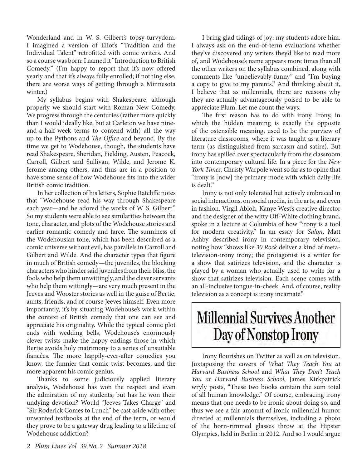Wonderland and in W. S. Gilbert's topsy-turvydom. I imagined a version of Eliot's "Tradition and the Individual Talent" retrofitted with comic writers. And so a course was born: I named it "Introduction to British Comedy." (I'm happy to report that it's now offered yearly and that it's always fully enrolled; if nothing else, there are worse ways of getting through a Minnesota winter.)

My syllabus begins with Shakespeare, although properly we should start with Roman New Comedy. We progress through the centuries (rather more quickly than I would ideally like, but at Carleton we have nineand-a-half-week terms to contend with) all the way up to the Pythons and *The Office* and beyond. By the time we get to Wodehouse, though, the students have read Shakespeare, Sheridan, Fielding, Austen, Peacock, Carroll, Gilbert and Sullivan, Wilde, and Jerome K. Jerome among others, and thus are in a position to have some sense of how Wodehouse fits into the wider British comic tradition.

In her collection of his letters, Sophie Ratcliffe notes that "Wodehouse read his way through Shakespeare each year—and he adored the works of W. S. Gilbert." So my students were able to see similarities between the tone, character, and plots of the Wodehouse stories and earlier romantic comedy and farce. The sunniness of the Wodehousian tone, which has been described as a comic universe without evil, has parallels in Carroll and Gilbert and Wilde. And the character types that figure in much of British comedy—the juveniles, the blocking characters who hinder said juveniles from their bliss, the fools who help them unwittingly, and the clever servants who help them wittingly—are very much present in the Jeeves and Wooster stories as well in the guise of Bertie, aunts, friends, and of course Jeeves himself. Even more importantly, it's by situating Wodehouse's work within the context of British comedy that one can see and appreciate his originality. While the typical comic plot ends with wedding bells, Wodehouse's enormously clever twists make the happy endings those in which Bertie avoids holy matrimony to a series of unsuitable fiancées. The more happily-ever-after comedies you know, the funnier that comic twist becomes, and the more apparent his comic genius.

Thanks to some judiciously applied literary analysis, Wodehouse has won the respect and even the admiration of my students, but has he won their undying devotion? Would "Jeeves Takes Charge" and "Sir Roderick Comes to Lunch" be cast aside with other unwanted textbooks at the end of the term, or would they prove to be a gateway drug leading to a lifetime of Wodehouse addiction?

I bring glad tidings of joy: my students adore him. I always ask on the end-of-term evaluations whether they've discovered any writers they'd like to read more of, and Wodehouse's name appears more times than all the other writers on the syllabus combined, along with comments like "unbelievably funny" and "I'm buying a copy to give to my parents." And thinking about it, I believe that as millennials, there are reasons why they are actually advantageously poised to be able to appreciate Plum. Let me count the ways.

The first reason has to do with irony. Irony, in which the hidden meaning is exactly the opposite of the ostensible meaning, used to be the purview of literature classrooms, where it was taught as a literary term (as distinguished from sarcasm and satire). But irony has spilled over spectacularly from the classroom into contemporary cultural life. In a piece for the *New York Times*, Christy Warpole went so far as to opine that "irony is [now] the primary mode with which daily life is dealt."

Irony is not only tolerated but actively embraced in social interactions, on social media, in the arts, and even in fashion. Virgil Abloh, Kanye West's creative director and the designer of the witty Off-White clothing brand, spoke in a lecture at Columbia of how "irony is a tool for modern creativity." In an essay for *Salon*, Matt Ashby described irony in contemporary television, noting how "shows like *30 Rock* deliver a kind of metatelevision-irony irony; the protagonist is a writer for a show that satirizes television, and the character is played by a woman who actually used to write for a show that satirizes television. Each scene comes with an all-inclusive tongue-in-cheek. And, of course, reality television as a concept is irony incarnate."

## **Millennial Survives Another** Day of Nonstop Irony

Irony flourishes on Twitter as well as on television. Juxtaposing the covers of *What They Teach You at Harvard Business School* and *What They Don't Teach You at Harvard Business School*, James Kirkpatrick wryly posts, "These two books contain the sum total of all human knowledge." Of course, embracing irony means that one needs to be ironic about doing so, and thus we see a fair amount of ironic millennial humor directed at millennials themselves, including a photo of the horn-rimmed glasses throw at the Hipster Olympics, held in Berlin in 2012. And so I would argue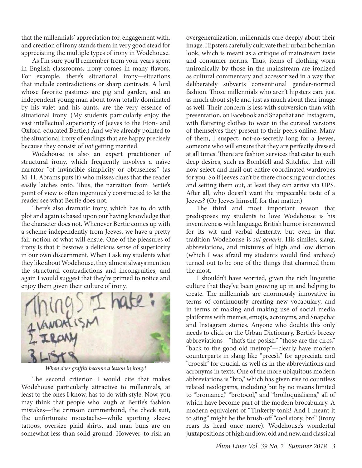that the millennials' appreciation for, engagement with, and creation of irony stands them in very good stead for appreciating the multiple types of irony in Wodehouse.

As I'm sure you'll remember from your years spent in English classrooms, irony comes in many flavors. For example, there's situational irony—situations that include contradictions or sharp contrasts. A lord whose favorite pastimes are pig and garden, and an independent young man about town totally dominated by his valet and his aunts, are the very essence of situational irony. (My students particularly enjoy the vast intellectual superiority of Jeeves to the Eton- and Oxford-educated Bertie.) And we've already pointed to the situational irony of endings that are happy precisely because they consist of *not* getting married.

Wodehouse is also an expert practitioner of structural irony, which frequently involves a naïve narrator "of invincible simplicity or obtuseness" (as M. H. Abrams puts it) who misses clues that the reader easily latches onto. Thus, the narration from Bertie's point of view is often ingeniously constructed to let the reader see what Bertie does not.

There's also dramatic irony, which has to do with plot and again is based upon our having knowledge that the character does not. Whenever Bertie comes up with a scheme independently from Jeeves, we have a pretty fair notion of what will ensue. One of the pleasures of irony is that it bestows a delicious sense of superiority in our own discernment. When I ask my students what they like about Wodehouse, they almost always mention the structural contradictions and incongruities, and again I would suggest that they're primed to notice and enjoy them given their culture of irony.



*When does graffiti become a lesson in irony?*

The second criterion I would cite that makes Wodehouse particularly attractive to millennials, at least to the ones I know, has to do with style. Now, you may think that people who laugh at Bertie's fashion mistakes—the crimson cummerbund, the check suit, the unfortunate moustache—while sporting sleeve tattoos, oversize plaid shirts, and man buns are on somewhat less than solid ground. However, to risk an

overgeneralization, millennials care deeply about their image. Hipsters carefully cultivate their urban bohemian look, which is meant as a critique of mainstream taste and consumer norms. Thus, items of clothing worn unironically by those in the mainstream are ironized as cultural commentary and accessorized in a way that deliberately subverts conventional gender-normed fashion. Those millennials who aren't hipsters care just as much about style and just as much about their image as well. Their concern is less with subversion than with presentation, on Facebook and Snapchat and Instagram, with flattering clothes to wear in the curated versions of themselves they present to their peers online. Many of them, I suspect, not-so-secretly long for a Jeeves, someone who will ensure that they are perfectly dressed at all times. There are fashion services that cater to such deep desires, such as Bombfell and Stitchfix, that will now select and mail out entire coordinated wardrobes for you. So if Jeeves can't be there choosing your clothes and setting them out, at least they can arrive via UPS. After all, who doesn't want the impeccable taste of a Jeeves? (Or Jeeves himself, for that matter.)

The third and most important reason that predisposes my students to love Wodehouse is his inventiveness with language. British humor is renowned for its wit and verbal dexterity, but even in that tradition Wodehouse is *sui generis*. His similes, slang, abbreviations, and mixtures of high and low diction (which I was afraid my students would find archaic) turned out to be one of the things that charmed them the most.

I shouldn't have worried, given the rich linguistic culture that they've been growing up in and helping to create. The millennials are enormously innovative in terms of continuously creating new vocabulary, and in terms of making and making use of social media platforms with memes, emojis, acronyms, and Snapchat and Instagram stories. Anyone who doubts this only needs to click on the Urban Dictionary. Bertie's breezy abbreviations—"that's the posish," "those are the circs," "back to the good old metrop"—clearly have modern counterparts in slang like "preesh" for appreciate and "croosh" for crucial, as well as in the abbreviations and acronyms in texts. One of the more ubiquitous modern abbreviations is "bro," which has given rise to countless related neologisms, including but by no means limited to "bromance," "brotocol," and "brolloquialisms," all of which have become part of the modern brocabulary. A modern equivalent of "Tinkerty-tonk! And I meant it to sting" might be the brush-off "cool story, bro" (irony rears its head once more). Wodehouse's wonderful juxtapositions of high and low, old and new, and classical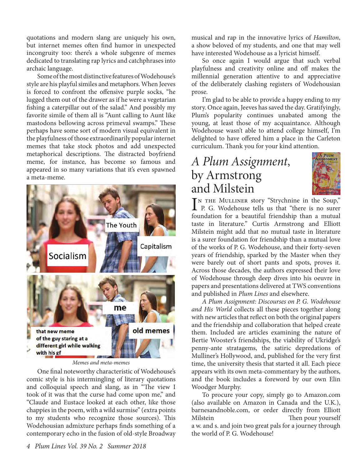quotations and modern slang are uniquely his own, but internet memes often find humor in unexpected incongruity too: there's a whole subgenre of memes dedicated to translating rap lyrics and catchphrases into archaic language.

Some of the most distinctive features of Wodehouse's style are his playful similes and metaphors. When Jeeves is forced to confront the offensive purple socks, "he lugged them out of the drawer as if he were a vegetarian fishing a caterpillar out of the salad." And possibly my favorite simile of them all is "Aunt calling to Aunt like mastodons bellowing across primeval swamps." These perhaps have some sort of modern visual equivalent in the playfulness of those extraordinarily popular internet memes that take stock photos and add unexpected metaphorical descriptions. The distracted boyfriend meme, for instance, has become so famous and appeared in so many variations that it's even spawned a meta-meme.



*Memes and meta-memes*

One final noteworthy characteristic of Wodehouse's comic style is his intermingling of literary quotations and colloquial speech and slang, as in "The view I took of it was that the curse had come upon me," and "Claude and Eustace looked at each other, like those chappies in the poem, with a wild surmise" (extra points to my students who recognize those sources). This Wodehousian admixture perhaps finds something of a contemporary echo in the fusion of old-style Broadway

musical and rap in the innovative lyrics of *Hamilton*, a show beloved of my students, and one that may well have interested Wodehouse as a lyricist himself.

So once again I would argue that such verbal playfulness and creativity online and off makes the millennial generation attentive to and appreciative of the deliberately clashing registers of Wodehousian prose.

I'm glad to be able to provide a happy ending to my story. Once again, Jeeves has saved the day. Gratifyingly, Plum's popularity continues unabated among the young, at least those of my acquaintance. Although Wodehouse wasn't able to attend college himself, I'm delighted to have offered him a place in the Carleton curriculum. Thank you for your kind attention.

### *A Plum Assignment*, by Armstrong and Milstein



IN THE MULLINER story "Strychnine in the Soup,"<br>
P. G. Wodehouse tells us that "there is no surer n the Mulliner story "Strychnine in the Soup," foundation for a beautiful friendship than a mutual taste in literature." Curtis Armstrong and Elliott Milstein might add that no mutual taste in literature is a surer foundation for friendship than a mutual love of the works of P. G. Wodehouse, and their forty-seven years of friendship, sparked by the Master when they were barely out of short pants and spots, proves it. Across those decades, the authors expressed their love of Wodehouse through deep dives into his oeuvre in papers and presentations delivered at TWS conventions and published in *Plum Lines* and elsewhere.

*A Plum Assignment: Discourses on P. G. Wodehouse and His World* collects all these pieces together along with new articles that reflect on both the original papers and the friendship and collaboration that helped create them. Included are articles examining the nature of Bertie Wooster's friendships, the viability of Ukridge's penny-ante stratagems, the satiric depredations of Mulliner's Hollywood, and, published for the very first time, the university thesis that started it all. Each piece appears with its own meta-commentary by the authors, and the book includes a foreword by our own Elin Woodger Murphy.

To procure your copy, simply go to Amazon.com (also available on Amazon in Canada and the U.K.), barnesandnoble.com, or order directly from Elliott Milstein at electron method. Then pour yourself a w. and s. and join two great pals for a journey through the world of P. G. Wodehouse!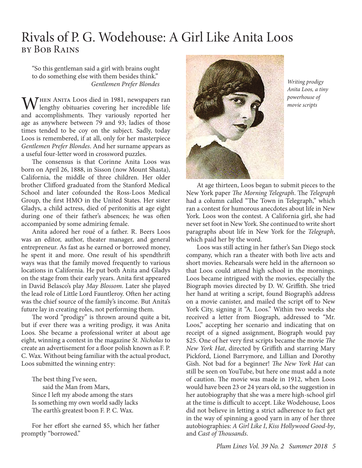### Rivals of P. G. Wodehouse: A Girl Like Anita Loos by Bob Rains

"So this gentleman said a girl with brains ought to do something else with them besides think." *Gentlemen Prefer Blondes*

 $\mathbf{M}$  HEN ANITA Loos died in 1981, newspapers ran  $\mathsf{V}\mathsf{V}$  lengthy obituaries covering her incredible life and accomplishments. They variously reported her age as anywhere between 79 and 93; ladies of those times tended to be coy on the subject. Sadly, today Loos is remembered, if at all, only for her masterpiece *Gentlemen Prefer Blondes*. And her surname appears as a useful four-letter word in crossword puzzles.

The consensus is that Corinne Anita Loos was born on April 26, 1888, in Sisson (now Mount Shasta), California, the middle of three children. Her older brother Clifford graduated from the Stanford Medical School and later cofounded the Ross-Loos Medical Group, the first HMO in the United States. Her sister Gladys, a child actress, died of peritonitis at age eight during one of their father's absences; he was often accompanied by some admiring female.

Anita adored her roué of a father. R. Beers Loos was an editor, author, theater manager, and general entrepreneur. As fast as he earned or borrowed money, he spent it and more. One result of his spendthrift ways was that the family moved frequently to various locations in California. He put both Anita and Gladys on the stage from their early years. Anita first appeared in David Belasco's play *May Blossom*. Later she played the lead role of Little Lord Fauntleroy. Often her acting was the chief source of the family's income. But Anita's future lay in creating roles, not performing them.

The word "prodigy" is thrown around quite a bit, but if ever there was a writing prodigy, it was Anita Loos. She became a professional writer at about age eight, winning a contest in the magazine *St. Nicholas* to create an advertisement for a floor polish known as F. P. C. Wax. Without being familiar with the actual product, Loos submitted the winning entry:

The best thing I've seen, said the Man from Mars, Since I left my abode among the stars Is something my own world sadly lacks The earth's greatest boon F. P. C. Wax.

For her effort she earned \$5, which her father promptly "borrowed."



*Writing prodigy Anita Loos, a tiny powerhouse of movie scripts*

At age thirteen, Loos began to submit pieces to the New York paper *The Morning Telegraph*. The *Telegraph*  had a column called "The Town in Telegraph," which ran a contest for humorous anecdotes about life in New York. Loos won the contest. A California girl, she had never set foot in New York. She continued to write short paragraphs about life in New York for the *Telegraph*, which paid her by the word.

Loos was still acting in her father's San Diego stock company, which ran a theater with both live acts and short movies. Rehearsals were held in the afternoon so that Loos could attend high school in the mornings. Loos became intrigued with the movies, especially the Biograph movies directed by D. W. Griffith. She tried her hand at writing a script, found Biograph's address on a movie canister, and mailed the script off to New York City, signing it "A. Loos." Within two weeks she received a letter from Biograph, addressed to "Mr. Loos," accepting her scenario and indicating that on receipt of a signed assignment, Biograph would pay \$25. One of her very first scripts became the movie *The New York Hat*, directed by Griffith and starring Mary Pickford, Lionel Barrymore, and Lillian and Dorothy Gish. Not bad for a beginner! *The New York Hat* can still be seen on YouTube, but here one must add a note of caution. The movie was made in 1912, when Loos would have been 23 or 24 years old, so the suggestion in her autobiography that she was a mere high-school girl at the time is difficult to accept. Like Wodehouse, Loos did not believe in letting a strict adherence to fact get in the way of spinning a good yarn in any of her three autobiographies: *A Girl Like I*, *Kiss Hollywood Good-by*, and *Cast of Thousands*.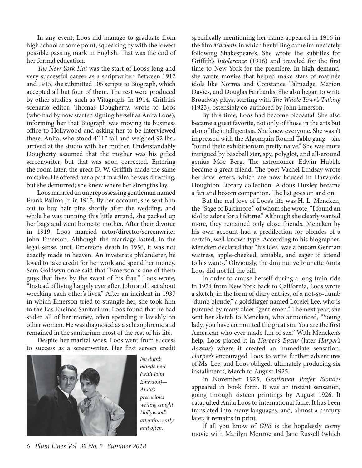In any event, Loos did manage to graduate from high school at some point, squeaking by with the lowest possible passing mark in English. That was the end of her formal education.

*The New York Hat* was the start of Loos's long and very successful career as a scriptwriter. Between 1912 and 1915, she submitted 105 scripts to Biograph, which accepted all but four of them. The rest were produced by other studios, such as Vitagraph. In 1914, Griffith's scenario editor, Thomas Dougherty, wrote to Loos (who had by now started signing herself as Anita Loos), informing her that Biograph was moving its business office to Hollywood and asking her to be interviewed there. Anita, who stood 4′11″ tall and weighed 92 lbs., arrived at the studio with her mother. Understandably Dougherty assumed that the mother was his gifted screenwriter, but that was soon corrected. Entering the room later, the great D. W. Griffith made the same mistake. He offered her a part in a film he was directing, but she demurred; she knew where her strengths lay.

Loos married an unprepossessing gentleman named Frank Pallma Jr. in 1915. By her account, she sent him out to buy hair pins shortly after the wedding, and while he was running this little errand, she packed up her bags and went home to mother. After their divorce in 1919, Loos married actor/director/screenwriter John Emerson. Although the marriage lasted, in the legal sense, until Emerson's death in 1956, it was not exactly made in heaven. An inveterate philanderer, he loved to take credit for her work and spend her money. Sam Goldwyn once said that "Emerson is one of them guys that lives by the sweat of his frau." Loos wrote, "Instead of living happily ever after, John and I set about wrecking each other's lives." After an incident in 1937 in which Emerson tried to strangle her, she took him to the Las Encinas Sanitarium. Loos found that he had stolen all of her money, often spending it lavishly on other women. He was diagnosed as a schizophrenic and remained in the sanitarium most of the rest of his life.

Despite her marital woes, Loos went from success to success as a screenwriter. Her first screen credit



*No dumb blonde here (with John Emerson)— Anita's precocious writing caught Hollywood's attention early and often.*

specifically mentioning her name appeared in 1916 in the film *Macbeth*, in which her billing came immediately following Shakespeare's. She wrote the subtitles for Griffith's *Intolerance* (1916) and traveled for the first time to New York for the premiere. In high demand, she wrote movies that helped make stars of matinée idols like Norma and Constance Talmadge, Marion Davies, and Douglas Fairbanks. She also began to write Broadway plays, starting with *The Whole Town's Talking* (1923), ostensibly co-authored by John Emerson.

By this time, Loos had become bicoastal. She also became a great favorite, not only of those in the arts but also of the intelligentsia. She knew everyone. She wasn't impressed with the Algonquin Round Table gang—she "found their exhibitionism pretty naïve." She was more intrigued by baseball star, spy, polyglot, and all-around genius Moe Berg. The astronomer Edwin Hubble became a great friend. The poet Vachel Lindsay wrote her love letters, which are now housed in Harvard's Houghton Library collection. Aldous Huxley became a fan and bosom companion. The list goes on and on.

But the real love of Loos's life was H. L. Mencken, the "Sage of Baltimore," of whom she wrote, "I found an idol to adore for a lifetime." Although she clearly wanted more, they remained only close friends. Mencken by his own account had a predilection for blondes of a certain, well-known type. According to his biographer, Mencken declared that "his ideal was a buxom German waitress, apple-cheeked, amiable, and eager to attend to his wants." Obviously, the diminutive brunette Anita Loos did not fill the bill.

In order to amuse herself during a long train ride in 1924 from New York back to California, Loos wrote a sketch, in the form of diary entries, of a not-so-dumb "dumb blonde," a golddigger named Lorelei Lee, who is pursued by many older "gentlemen." The next year, she sent her sketch to Mencken, who announced, "Young lady, you have committed the great sin. You are the first American who ever made fun of sex." With Mencken's help, Loos placed it in *Harper's Bazar* (later *Harper's Bazaar*) where it created an immediate sensation. *Harper's* encouraged Loos to write further adventures of Ms. Lee, and Loos obliged, ultimately producing six installments, March to August 1925.

In November 1925, *Gentlemen Prefer Blondes*  appeared in book form. It was an instant sensation, going through sixteen printings by August 1926. It catapulted Anita Loos to international fame. It has been translated into many languages, and, almost a century later, it remains in print.

If all you know of *GPB* is the hopelessly corny movie with Marilyn Monroe and Jane Russell (which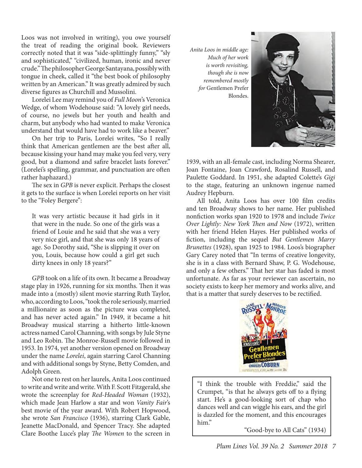Loos was not involved in writing), you owe yourself the treat of reading the original book. Reviewers correctly noted that it was "side-splittingly funny," "sly and sophisticated," "civilized, human, ironic and never crude." The philosopher George Santayana, possibly with tongue in cheek, called it "the best book of philosophy written by an American." It was greatly admired by such diverse figures as Churchill and Mussolini.

Lorelei Lee may remind you of *Full Moon*'s Veronica Wedge, of whom Wodehouse said: "A lovely girl needs, of course, no jewels but her youth and health and charm, but anybody who had wanted to make Veronica understand that would have had to work like a beaver."

On her trip to Paris, Lorelei writes, "So I really think that American gentlemen are the best after all, because kissing your hand may make you feel very, very good, but a diamond and safire bracelet lasts forever." (Lorelei's spelling, grammar, and punctuation are often rather haphazard.)

The sex in *GPB* is never explicit. Perhaps the closest it gets to the surface is when Lorelei reports on her visit to the "Foley Bergere":

It was very artistic because it had girls in it that were in the nude. So one of the girls was a friend of Louie and he said that she was a very very nice girl, and that she was only 18 years of age. So Dorothy said, "She is slipping it over on you, Louis, because how could a girl get such dirty knees in only 18 years?"

*GPB* took on a life of its own. It became a Broadway stage play in 1926, running for six months. Then it was made into a (mostly) silent movie starring Ruth Taylor, who, according to Loos, "took the role seriously, married a millionaire as soon as the picture was completed, and has never acted again." In 1949, it became a hit Broadway musical starring a hitherto little-known actress named Carol Channing, with songs by Jule Styne and Leo Robin. The Monroe-Russell movie followed in 1953. In 1974, yet another version opened on Broadway under the name *Lorelei*, again starring Carol Channing and with additional songs by Styne, Betty Comden, and Adolph Green.

Not one to rest on her laurels, Anita Loos continued to write and write and write. With F. Scott Fitzgerald, she wrote the screenplay for *Red-Headed Woman* (1932), which made Jean Harlow a star and won *Vanity Fair*'s best movie of the year award. With Robert Hopwood, she wrote *San Francisco* (1936), starring Clark Gable, Jeanette MacDonald, and Spencer Tracy. She adapted Clare Boothe Luce's play *The Women* to the screen in

*Anita Loos in middle age: Much of her work is worth revisiting, though she is now remembered mostly for* Gentlemen Prefer Blondes.



1939, with an all-female cast, including Norma Shearer, Joan Fontaine, Joan Crawford, Rosalind Russell, and Paulette Goddard. In 1951, she adapted Colette's *Gigi* to the stage, featuring an unknown ingenue named Audrey Hepburn.

All told, Anita Loos has over 100 film credits and ten Broadway shows to her name. Her published nonfiction works span 1920 to 1978 and include *Twice Over Lightly: New York Then and Now* (1972), written with her friend Helen Hayes. Her published works of fiction, including the sequel *But Gentlemen Marry Brunettes* (1928), span 1925 to 1984. Loos's biographer Gary Carey noted that "In terms of creative longevity, she is in a class with Bernard Shaw, P. G. Wodehouse, and only a few others." That her star has faded is most unfortunate. As far as your reviewer can ascertain, no society exists to keep her memory and works alive, and that is a matter that surely deserves to be rectified.



"I think the trouble with Freddie," said the Crumpet, "is that he always gets off to a flying start. He's a good-looking sort of chap who dances well and can wiggle his ears, and the girl is dazzled for the moment, and this encourages him."

"Good-bye to All Cats" (1934)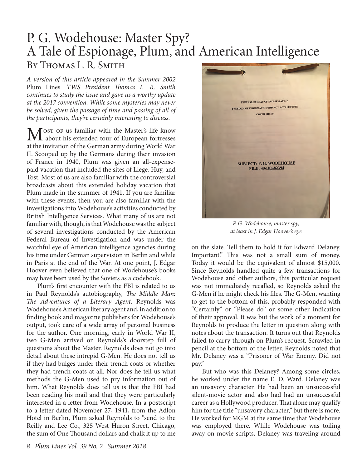### P. G. Wodehouse: Master Spy? A Tale of Espionage, Plum, and American Intelligence BY THOMAS L. R. SMITH

*A version of this article appeared in the Summer 2002*  Plum Lines*. TWS President Thomas L. R. Smith continues to study the issue and gave us a worthy update at the 2017 convention. While some mysteries may never be solved, given the passage of time and passing of all of the participants, they're certainly interesting to discuss.*

 $\mathbf{M}$ <sup>ost of</sup> us familiar with the Master's life know<br>the locality his extended tour of European fortresses at the invitation of the German army during World War II. Scooped up by the Germans during their invasion of France in 1940, Plum was given an all-expensepaid vacation that included the sites of Liege, Huy, and Tost. Most of us are also familiar with the controversial broadcasts about this extended holiday vacation that Plum made in the summer of 1941. If you are familiar with these events, then you are also familiar with the investigations into Wodehouse's activities conducted by British Intelligence Services. What many of us are not familiar with, though, is that Wodehouse was the subject of several investigations conducted by the American Federal Bureau of Investigation and was under the watchful eye of American intelligence agencies during his time under German supervision in Berlin and while in Paris at the end of the War. At one point, J. Edgar Hoover even believed that one of Wodehouse's books may have been used by the Soviets as a codebook.

Plum's first encounter with the FBI is related to us in Paul Reynolds's autobiography, *The Middle Man: The Adventures of a Literary Agent*. Reynolds was Wodehouse's American literary agent and, in addition to finding book and magazine publishers for Wodehouse's output, took care of a wide array of personal business for the author. One morning, early in World War II, two G-Men arrived on Reynolds's doorstep full of questions about the Master. Reynolds does not go into detail about these intrepid G-Men. He does not tell us if they had bulges under their trench coats or whether they had trench coats at all. Nor does he tell us what methods the G-Men used to pry information out of him. What Reynolds does tell us is that the FBI had been reading his mail and that they were particularly interested in a letter from Wodehouse. In a postscript to a letter dated November 27, 1941, from the Adlon Hotel in Berlin, Plum asked Reynolds to "send to the Reilly and Lee Co., 325 West Huron Street, Chicago, the sum of One Thousand dollars and chalk it up to me



*P. G. Wodehouse, master spy, at least in J. Edgar Hoover's eye*

on the slate. Tell them to hold it for Edward Delaney. Important." This was not a small sum of money. Today it would be the equivalent of almost \$15,000. Since Reynolds handled quite a few transactions for Wodehouse and other authors, this particular request was not immediately recalled, so Reynolds asked the G-Men if he might check his files. The G-Men, wanting to get to the bottom of this, probably responded with "Certainly" or "Please do" or some other indication of their approval. It was but the work of a moment for Reynolds to produce the letter in question along with notes about the transaction. It turns out that Reynolds failed to carry through on Plum's request. Scrawled in pencil at the bottom of the letter, Reynolds noted that Mr. Delaney was a "Prisoner of War Enemy. Did not pay."

But who was this Delaney? Among some circles, he worked under the name E. D. Ward. Delaney was an unsavory character. He had been an unsuccessful silent-movie actor and also had had an unsuccessful career as a Hollywood producer. That alone may qualify him for the title "unsavory character," but there is more. He worked for MGM at the same time that Wodehouse was employed there. While Wodehouse was toiling away on movie scripts, Delaney was traveling around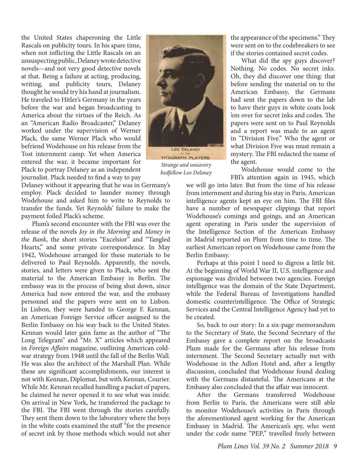the United States chaperoning the Little Rascals on publicity tours. In his spare time, when not inflicting the Little Rascals on an unsuspecting public, Delaney wrote detective novels—and not very good detective novels at that. Being a failure at acting, producing, writing, and publicity tours, Delaney thought he would try his hand at journalism. He traveled to Hitler's Germany in the years before the war and began broadcasting to America about the virtues of the Reich. As an "American Radio Broadcaster," Delaney worked under the supervision of Werner Plack, the same Werner Plack who would befriend Wodehouse on his release from the Tost internment camp. Yet when America entered the war, it became important for Plack to portray Delaney as an independent journalist. Plack needed to find a way to pay

Delaney without it appearing that he was in Germany's employ. Plack decided to launder money through Wodehouse and asked him to write to Reynolds to transfer the funds. Yet Reynolds' failure to make the payment foiled Plack's scheme.

Plum's second encounter with the FBI was over the release of the novels *Joy in the Morning* and *Money in the Bank*, the short stories "Excelsior" and "Tangled Hearts," and some private correspondence. In May 1942, Wodehouse arranged for these materials to be delivered to Paul Reynolds. Apparently, the novels, stories, and letters were given to Plack, who sent the material to the American Embassy in Berlin. The embassy was in the process of being shut down, since America had now entered the war, and the embassy personnel and the papers were sent on to Lisbon. In Lisbon, they were handed to George F. Kennan, an American Foreign Service officer assigned to the Berlin Embassy on his way back to the United States. Kennan would later gain fame as the author of "The Long Telegram" and "Mr. X" articles which appeared in *Foreign Affairs* magazine, outlining American coldwar strategy from 1948 until the fall of the Berlin Wall. He was also the architect of the Marshall Plan. While these are significant accomplishments, our interest is not with Kennan, Diplomat, but with Kennan, Courier. While Mr. Kennan recalled handling a packet of papers, he claimed he never opened it to see what was inside. On arrival in New York, he transferred the package to the FBI. The FBI went through the stories carefully. They sent them down to the laboratory where the boys in the white coats examined the stuff "for the presence of secret ink by those methods which would not alter



*Strange and unsavory bedfellow Leo Delaney*

the appearance of the specimens." They were sent on to the codebreakers to see if the stories contained secret codes.

What did the spy guys discover? Nothing. No codes. No secret inks. Oh, they did discover one thing: that before sending the material on to the American Embassy, the Germans had sent the papers down to the lab to have their guys in white coats look 'em over for secret inks and codes. The papers were sent on to Paul Reynolds and a report was made to an agent in "Division Five." Who the agent or what Division Five was must remain a mystery. The FBI redacted the name of the agent.

Wodehouse would come to the FBI's attention again in 1945, which

we will go into later. But from the time of his release from internment and during his stay in Paris, American intelligence agents kept an eye on him. The FBI files have a number of newspaper clippings that report Wodehouse's comings and goings, and an American agent operating in Paris under the supervision of the Intelligence Section of the American Embassy in Madrid reported on Plum from time to time. The earliest American report on Wodehouse came from the Berlin Embassy.

Perhaps at this point I need to digress a little bit. At the beginning of World War II, U.S. intelligence and espionage was divided between two agencies. Foreign intelligence was the domain of the State Department, while the Federal Bureau of Investigations handled domestic counterintelligence. The Office of Strategic Services and the Central Intelligence Agency had yet to be created.

So, back to our story: In a six-page memorandum to the Secretary of State, the Second Secretary of the Embassy gave a complete report on the broadcasts Plum made for the Germans after his release from internment. The Second Secretary actually met with Wodehouse in the Adlon Hotel and, after a lengthy discussion, concluded that Wodehouse found dealing with the Germans distasteful. The Americans at the Embassy also concluded that the affair was innocent.

After the Germans transferred Wodehouse from Berlin to Paris, the Americans were still able to monitor Wodehouse's activities in Paris through the aforementioned agent working for the American Embassy in Madrid. The American's spy, who went under the code name "PEP," travelled freely between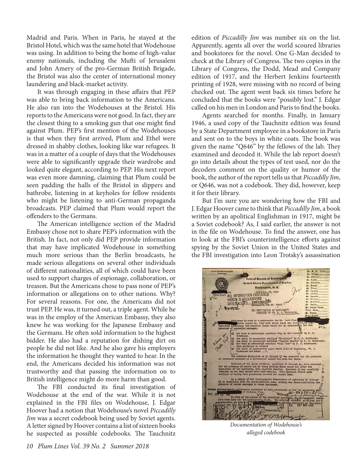Madrid and Paris. When in Paris, he stayed at the Bristol Hotel, which was the same hotel that Wodehouse was using. In addition to being the home of high-value enemy nationals, including the Mufti of Jerusalem and John Amery of the pro-German British Brigade, the Bristol was also the center of international money laundering and black-market activity.

It was through engaging in these affairs that PEP was able to bring back information to the Americans. He also ran into the Wodehouses at the Bristol. His reports to the Americans were not good. In fact, they are the closest thing to a smoking gun that one might find against Plum. PEP's first mention of the Wodehouses is that when they first arrived, Plum and Ethel were dressed in shabby clothes, looking like war refugees. It was in a matter of a couple of days that the Wodehouses were able to significantly upgrade their wardrobe and looked quite elegant, according to PEP. His next report was even more damning, claiming that Plum could be seen padding the halls of the Bristol in slippers and bathrobe, listening in at keyholes for fellow residents who might be listening to anti-German propaganda broadcasts. PEP claimed that Plum would report the offenders to the Germans.

The American intelligence section of the Madrid Embassy chose not to share PEP's information with the British. In fact, not only did PEP provide information that may have implicated Wodehouse in something much more serious than the Berlin broadcasts, he made serious allegations on several other individuals of different nationalities, all of which could have been used to support charges of espionage, collaboration, or treason. But the Americans chose to pass none of PEP's information or allegations on to other nations. Why? For several reasons. For one, the Americans did not trust PEP. He was, it turned out, a triple agent. While he was in the employ of the American Embassy, they also knew he was working for the Japanese Embassy and the Germans. He often sold information to the highest bidder. He also had a reputation for dishing dirt on people he did not like. And he also gave his employers the information he thought they wanted to hear. In the end, the Americans decided his information was not trustworthy and that passing the information on to British intelligence might do more harm than good.

The FBI conducted its final investigation of Wodehouse at the end of the war. While it is not explained in the FBI files on Wodehouse, J. Edgar Hoover had a notion that Wodehouse's novel *Piccadilly Jim* was a secret codebook being used by Soviet agents. A letter signed by Hoover contains a list of sixteen books he suspected as possible codebooks. The Tauchnitz

edition of *Piccadilly Jim* was number six on the list. Apparently, agents all over the world scoured libraries and bookstores for the novel. One G-Man decided to check at the Library of Congress. The two copies in the Library of Congress, the Dodd, Mead and Company edition of 1917, and the Herbert Jenkins fourteenth printing of 1928, were missing with no record of being checked out. The agent went back six times before he concluded that the books were "possibly lost." J. Edgar called on his men in London and Paris to find the books.

Agents searched for months. Finally, in January 1946, a used copy of the Tauchnitz edition was found by a State Department employee in a bookstore in Paris and sent on to the boys in white coats. The book was given the name "Q646" by the fellows of the lab. They examined and decoded it. While the lab report doesn't go into details about the types of test used, nor do the decoders comment on the quality or humor of the book, the author of the report tells us that *Piccadilly Jim*, or Q646, was not a codebook. They did, however, keep it for their library.

But I'm sure you are wondering how the FBI and J. Edgar Hoover came to think that *Piccadilly Jim*, a book written by an apolitical Englishman in 1917, might be a Soviet codebook? As, I said earlier, the answer is not in the file on Wodehouse. To find the answer, one has to look at the FBI's counterintelligence efforts against spying by the Soviet Union in the United States and the FBI investigation into Leon Trotsky's assassination

**Federal Bureau of Investig** United States Department of Br Washington, O. C. **ALL INFORMATION CONTAINED<sup>18</sup>, 1942** HEREIN IS UNCLASSIFIED dated 3-13-42 beginning, "F. G. E.G.CAH

*Documentation of Wodehouse's alleged codebook*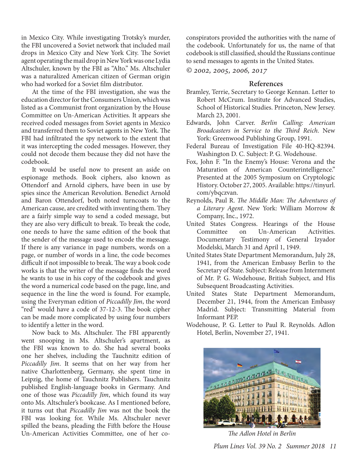in Mexico City. While investigating Trotsky's murder, the FBI uncovered a Soviet network that included mail drops in Mexico City and New York City. The Soviet agent operating the mail drop in New York was one Lydia Altschuler, known by the FBI as "Alto." Ms. Altschuler was a naturalized American citizen of German origin who had worked for a Soviet film distributor.

At the time of the FBI investigation, she was the education director for the Consumers Union, which was listed as a Communist front organization by the House Committee on Un-American Activities. It appears she received coded messages from Soviet agents in Mexico and transferred them to Soviet agents in New York. The FBI had infiltrated the spy network to the extent that it was intercepting the coded messages. However, they could not decode them because they did not have the codebook.

It would be useful now to present an aside on espionage methods. Book ciphers, also known as Ottendorf and Arnold ciphers, have been in use by spies since the American Revolution. Benedict Arnold and Baron Ottendorf, both noted turncoats to the American cause, are credited with inventing them. They are a fairly simple way to send a coded message, but they are also very difficult to break. To break the code, one needs to have the same edition of the book that the sender of the message used to encode the message. If there is any variance in page numbers, words on a page, or number of words in a line, the code becomes difficult if not impossible to break. The way a book code works is that the writer of the message finds the word he wants to use in his copy of the codebook and gives the word a numerical code based on the page, line, and sequence in the line the word is found. For example, using the Everyman edition of *Piccadilly Jim*, the word "red" would have a code of 37-12-3. The book cipher can be made more complicated by using four numbers to identify a letter in the word.

Now back to Ms. Altschuler. The FBI apparently went snooping in Ms. Altschuler's apartment, as the FBI was known to do. She had several books one her shelves, including the Tauchnitz edition of *Piccadilly Jim*. It seems that on her way from her native Charlottenberg, Germany, she spent time in Leipzig, the home of Tauchnitz Publishers. Tauchnitz published English-language books in Germany. And one of those was *Piccadilly Jim*, which found its way onto Ms. Altschuler's bookcase. As I mentioned before, it turns out that *Piccadilly Jim* was not the book the FBI was looking for. While Ms. Altschuler never spilled the beans, pleading the Fifth before the House Un-American Activities Committee, one of her coconspirators provided the authorities with the name of the codebook. Unfortunately for us, the name of that codebook is still classified, should the Russians continue to send messages to agents in the United States.

*© 2002, 2005, 2006, 2017*

#### **References**

- Bramley, Terrie, Secretary to George Kennan. Letter to Robert McCrum. Institute for Advanced Studies, School of Historical Studies. Princeton, New Jersey. March 23, 2001.
- Edwards, John Carver. *Berlin Calling: American Broadcasters in Service to the Third Reich*. New York: Greenwood Publishing Group, 1991.
- Federal Bureau of Investigation File 40-HQ-82394. Washington D. C. Subject: P. G. Wodehouse.
- Fox, John F. "In the Enemy's House: Verona and the Maturation of American Counterintelligence." Presented at the 2005 Symposium on Cryptologic History. October 27, 2005. Available: https://tinyurl. com/ybqczvan.
- Reynolds, Paul R. *The Middle Man: The Adventures of a Literary Agent*. New York: William Morrow & Company, Inc., 1972.
- United States Congress. Hearings of the House Committee on Un-American Activities. Documentary Testimony of General Izyador Modelski, March 31 and April 1, 1949.
- United States State Department Memorandum, July 28, 1941, from the American Embassy Berlin to the Secretary of State. Subject: Release from Internment of Mr. P. G. Wodehouse, British Subject, and His Subsequent Broadcasting Activities.
- United States State Department Memorandum, December 21, 1944, from the American Embassy Madrid. Subject: Transmitting Material from Informant PEP.
- Wodehouse, P. G. Letter to Paul R. Reynolds. Adlon Hotel, Berlin, November 27, 1941.



*The Adlon Hotel in Berlin*

 *Plum Lines Vol. 39 No. 2 Summer 2018 11*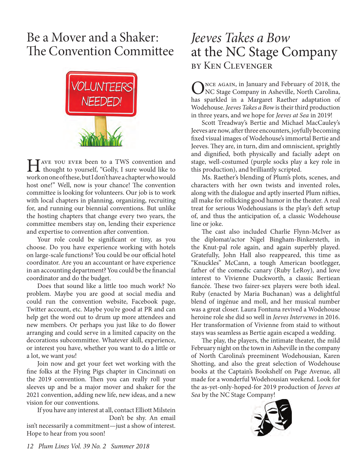### Be a Mover and a Shaker: The Convention Committee



Hence you ever been to a TWS convention and<br>thought to yourself, "Golly, I sure would like to work on one of these, but I don't have a chapter who would host one!" Well, now is your chance! The convention committee is looking for volunteers. Our job is to work with local chapters in planning, organizing, recruiting for, and running our biennial conventions. But unlike the hosting chapters that change every two years, the committee members stay on, lending their experience and expertise to convention after convention.

Your role could be significant or tiny, as you choose. Do you have experience working with hotels on large-scale functions? You could be our official hotel coordinator. Are you an accountant or have experience in an accounting department? You could be the financial coordinator and do the budget.

Does that sound like a little too much work? No problem. Maybe you are good at social media and could run the convention website, Facebook page, Twitter account, etc. Maybe you're good at PR and can help get the word out to drum up more attendees and new members. Or perhaps you just like to do flower arranging and could serve in a limited capacity on the decorations subcommittee. Whatever skill, experience, or interest you have, whether you want to do a little or a lot, we want *you*!

Join now and get your feet wet working with the fine folks at the Flying Pigs chapter in Cincinnati on the 2019 convention. Then you can really roll your sleeves up and be a major mover and shaker for the 2021 convention, adding new life, new ideas, and a new vision for our conventions.

If you have any interest at all, contact Elliott Milstein Don't be shy. An email.

isn't necessarily a commitment—just a show of interest. Hope to hear from you soon!

### *Jeeves Takes a Bow* at the NC Stage Company by Ken Clevenger

NCE AGAIN, in January and February of 2018, the NC Stage Company in Asheville, North Carolina, has sparkled in a Margaret Raether adaptation of Wodehouse. *Jeeves Takes a Bow* is their third production in three years, and we hope for *Jeeves at Sea* in 2019!

Scott Treadway's Bertie and Michael MacCauley's Jeeves are now, after three encounters, joyfully becoming fixed visual images of Wodehouse's immortal Bertie and Jeeves. They are, in turn, dim and omniscient, sprightly and dignified, both physically and facially adept on stage, well-costumed (purple socks play a key role in this production), and brilliantly scripted.

Ms. Raether's blending of Plum's plots, scenes, and characters with her own twists and invented roles, along with the dialogue and aptly inserted Plum nifties, all make for rollicking good humor in the theater. A real treat for serious Wodehousians is the play's deft setup of, and thus the anticipation of, a classic Wodehouse line or joke.

The cast also included Charlie Flynn-McIver as the diplomat/actor Nigel Bingham-Binkersteth, in the Knut-pal role again, and again superbly played. Gratefully, John Hall also reappeared, this time as "Knuckles" McCann, a tough American bootlegger, father of the comedic canary (Ruby LeRoy), and love interest to Vivienne Duckworth, a classic Bertiean fiancée. These two fairer-sex players were both ideal. Ruby (enacted by Maria Buchanan) was a delightful blend of ingénue and moll, and her musical number was a great closer. Laura Fontuna revived a Wodehouse heroine role she did so well in *Jeeves Intervenes* in 2016. Her transformation of Vivienne from staid to without stays was seamless as Bertie again escaped a wedding.

The play, the players, the intimate theater, the mild February night on the town in Asheville in the company of North Carolina's preeminent Wodehousian, Karen Shotting, and also the great selection of Wodehouse books at the Captain's Bookshelf on Page Avenue, all made for a wonderful Wodehousian weekend. Look for the as-yet-only-hoped-for 2019 production of *Jeeves at Sea* by the NC Stage Company!

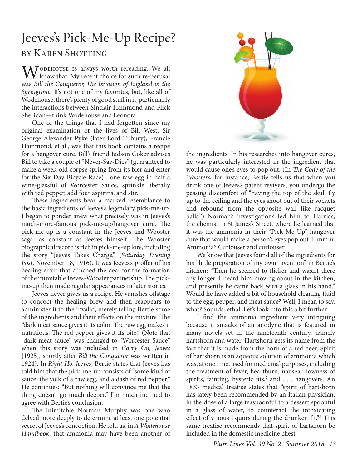## Jeeves's Pick-Me-Up Recipe?

#### by Karen Shotting

 $\mathbf{W}$  CODEHOUSE IS always worth rereading. We all know that. My recent choice for such re-perusal was *Bill the Conqueror, His Invasion of England in the Springtime*. It's not one of my favorites, but, like all of Wodehouse, there's plenty of good stuff in it, particularly the interactions between Sinclair Hammond and Flick Sheridan—think Wodehouse and Leonora.

One of the things that I had forgotten since my original examination of the lives of Bill West, Sir George Alexander Pyke (later Lord Tilbury), Francie Hammond, et al., was that this book contains a recipe for a hangover cure. Bill's friend Judson Coker advises Bill to take a couple of "Never-Say-Dies" (guaranteed to make a week-old corpse spring from its bier and enter for the Six-Day Bicycle Race)—one raw egg in half a wine-glassful of Worcester Sauce, sprinkle liberally with red pepper, add four aspirins, and stir.

These ingredients bear a marked resemblance to the basic ingredients of Jeeves's legendary pick-me-up. I began to ponder anew what precisely was in Jeeves's much-more-famous pick-me-up/hangover cure. The pick-me-up is a constant in the Jeeves and Wooster saga, as constant as Jeeves himself. The Wooster biographical record is rich in pick-me-up lore, including the story "Jeeves Takes Charge," (*Saturday Evening Post*, November 18, 1916). It was Jeeves's proffer of his healing elixir that clinched the deal for the formation of the inimitable Jeeves-Wooster partnership. The pickme-up then made regular appearances in later stories.

Jeeves never gives us a recipe. He vanishes offstage to concoct the healing brew and then reappears to administer it to the invalid, merely telling Bertie some of the ingredients and their effects on the mixture. The "dark meat sauce gives it its color. The raw egg makes it nutritious. The red pepper gives it its bite." (Note that "dark meat sauce" was changed to "Worcester Sauce" when this story was included in *Carry On, Jeeves* [1925], shortly after *Bill the Conqueror* was written in 1924). In *Right Ho, Jeeves*, Bertie states that Jeeves has told him that the pick-me-up consists of "some kind of sauce, the yolk of a raw egg, and a dash of red pepper." He continues: "But nothing will convince me that the thing doesn't go much deeper." I'm much inclined to agree with Bertie's conclusion.

The inimitable Norman Murphy was one who delved more deeply to determine at least one potential secret of Jeeves's concoction. He told us, in *A Wodehouse Handbook*, that ammonia may have been another of



the ingredients. In his researches into hangover cures, he was particularly interested in the ingredient that would cause one's eyes to pop out. (In *The Code of the Woosters*, for instance, Bertie tells us that when you drink one of Jeeves's patent revivers, you undergo the passing discomfort of "having the top of the skull fly up to the ceiling and the eyes shoot out of their sockets and rebound from the opposite wall like racquet balls.") Norman's investigations led him to Harris's, the chemist in St James's Street, where he learned that it was the ammonia in their "Pick Me Up" hangover cure that would make a person's eyes pop out. Hmmm. Ammonia? Curiouser and curiouser.

We know that Jeeves found all of the ingredients for his "little preparation of my own invention" in Bertie's kitchen: "Then he seemed to flicker and wasn't there any longer. I heard him moving about in the kitchen, and presently he came back with a glass in his hand." Would he have added a bit of household cleaning fluid to the egg, pepper, and meat sauce? Well, I mean to say, what? Sounds lethal. Let's look into this a bit further.

I find the ammonia ingredient very intriguing because it smacks of an anodyne that is featured in many novels set in the nineteenth century, namely hartshorn and water. Hartshorn gets its name from the fact that it is made from the horn of a red deer. Spirit of hartshorn is an aqueous solution of ammonia which was, at one time, used for medicinal purposes, including the treatment of fever, heartburn, nausea,<sup>1</sup> lowness of spirits, fainting, hysteric fits,<sup>2</sup> and . . . hangovers. An 1833 medical treatise states that "spirit of hartshorn has lately been recommended by an Italian physician, in the dose of a large teaspoonful to a dessert spoonful in a glass of water, to counteract the intoxicating effect of vinous liquors during the drunken fit."<sup>3</sup> This same treatise recommends that spirit of hartshorn be included in the domestic medicine chest.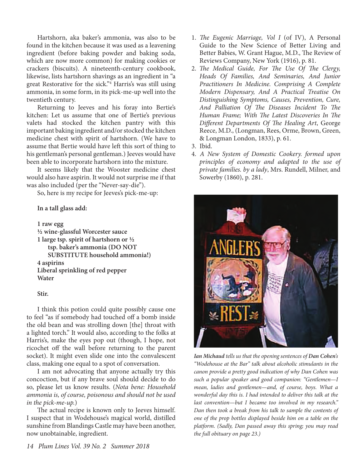Hartshorn, aka baker's ammonia, was also to be found in the kitchen because it was used as a leavening ingredient (before baking powder and baking soda, which are now more common) for making cookies or crackers (biscuits). A nineteenth-century cookbook, likewise, lists hartshorn shavings as an ingredient in "a great Restorative for the sick."4 Harris's was still using ammonia, in some form, in its pick-me-up well into the twentieth century.

Returning to Jeeves and his foray into Bertie's kitchen: Let us assume that one of Bertie's previous valets had stocked the kitchen pantry with this important baking ingredient and/or stocked the kitchen medicine chest with spirit of hartshorn. (We have to assume that Bertie would have left this sort of thing to his gentleman's personal gentleman.) Jeeves would have been able to incorporate hartshorn into the mixture.

It seems likely that the Wooster medicine chest would also have aspirin. It would not surprise me if that was also included (per the "Never-say-die").

So, here is my recipe for Jeeves's pick-me-up:

#### **In a tall glass add:**

#### **1 raw egg**

**½ wine-glassful Worcester sauce 1 large tsp. spirit of hartshorn or ½ tsp. baker's ammonia (DO NOT SUBSTITUTE household ammonia!) 4 aspirins Liberal sprinkling of red pepper Water**

#### **Stir.**

I think this potion could quite possibly cause one to feel "as if somebody had touched off a bomb inside the old bean and was strolling down [the] throat with a lighted torch." It would also, according to the folks at Harris's, make the eyes pop out (though, I hope, not ricochet off the wall before returning to the parent socket). It might even slide one into the convalescent class, making one equal to a spot of conversation.

I am not advocating that anyone actually try this concoction, but if any brave soul should decide to do so, please let us know results. (*Nota bene: Household ammonia is, of course, poisonous and should not be used in the pick-me-up.*)

The actual recipe is known only to Jeeves himself. I suspect that in Wodehouse's magical world, distilled sunshine from Blandings Castle may have been another, now unobtainable, ingredient.

- 1. *The Eugenic Marriage, Vol I* (of IV), A Personal Guide to the New Science of Better Living and Better Babies, W. Grant Hague, M.D., The Review of Reviews Company, New York (1916), p. 81.
- 2. *The Medical Guide, For The Use Of The Clergy, Heads Of Families, And Seminaries, And Junior Practitioners In Medicine. Comprising A Complete Modern Dispensary, And A Practical Treatise On Distinguishing Symptoms, Causes, Prevention, Cure, And Palliation Of The Diseases Incident To The Human Frame; With The Latest Discoveries In The Different Departments Of The Healing Art*, George Reece, M.D., (Longman, Rees, Orme, Brown, Green, & Longman London, 1833), p. 61.
- 3. Ibid.
- 4. *A New System of Domestic Cookery. formed upon principles of economy and adapted to the use of private families. by a lady*, Mrs. Rundell, Milner, and Sowerby (1860), p. 281.



*Ian Michaud tells us that the opening sentences of Dan Cohen's "Wodehouse at the Bar" talk about alcoholic stimulants in the canon provide a pretty good indication of why Dan Cohen was such a popular speaker and good companion: "Gentlemen—I mean, ladies and gentlemen—and, of course, boys. What a wonderful day this is. I had intended to deliver this talk at the last convention—but I became too involved in my research." Dan then took a break from his talk to sample the contents of one of the prop bottles displayed beside him on a table on the platform. (Sadly, Dan passed away this spring; you may read the full obituary on page 23.)*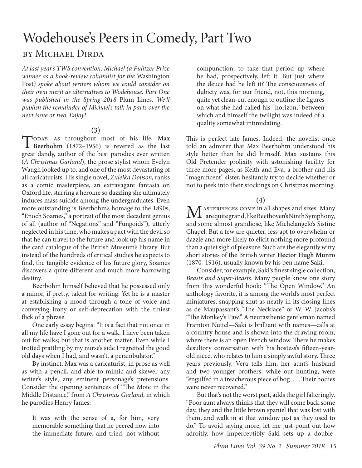## Wodehouse's Peers in Comedy, Part Two

#### by Michael Dirda

*At last year's TWS convention, Michael (a Pulitzer Prize winner as a book-review columnist for the* Washington Post*) spoke about writers whom we could consider on their own merit as alternatives to Wodehouse. Part One was published in the Spring 2018* Plum Lines*. We'll publish the remainder of Michael's talk in parts over the next issue or two. Enjoy!*

(3)<br>
Topay, as throughout most of his life, Max Today, as throughout most of his life, Max<br>Beerbohm (1872–1956) is revered as the last great dandy, author of the best parodies ever written (*A Christmas Garland*), the prose stylist whom Evelyn Waugh looked up to, and one of the most devastating of all caricaturists. His single novel, *Zuleika Dobson,* ranks as a comic masterpiece, an extravagant fantasia on Oxford life, starring a heroine so dazzling she ultimately induces mass suicide among the undergraduates. Even more outstanding is Beerbohm's homage to the 1890s, "Enoch Soames," a portrait of the most decadent genius of all (author of "Negations" and "Fungoids"), utterly neglected in his time, who makes a pact with the devil so that he can travel to the future and look up his name in the card catalogue of the British Museum's library. But instead of the hundreds of critical studies he expects to find, the tangible evidence of his future glory, Soames discovers a quite different and much more harrowing destiny.

Beerbohm himself believed that he possessed only a minor, if pretty, talent for writing. Yet he is a master at establishing a mood through a tone of voice and conveying irony or self-deprecation with the tiniest flick of a phrase.

One early essay begins: "It is a fact that not once in all my life have I gone out for a walk. I have been taken out for walks; but that is another matter. Even while I trotted prattling by my nurse's side I regretted the good old days when I had, and wasn't, a perambulator."

By instinct, Max was a caricaturist, in prose as well as with a pencil, and able to mimic and skewer any writer's style, any eminent personage's pretensions. Consider the opening sentences of "The Mote in the Middle Distance," from *A Christmas Garland*, in which he parodies Henry James:

It was with the sense of a, for him, very memorable something that he peered now into the immediate future, and tried, not without

compunction, to take that period up where he had, prospectively, left it. But just where the deuce had he left it? The consciousness of dubiety was, for our friend, not, this morning, quite yet clean-cut enough to outline the figures on what she had called his "horizon," between which and himself the twilight was indeed of a quality somewhat intimidating.

This is perfect late James. Indeed, the novelist once told an admirer that Max Beerbohm understood his style better than he did himself. Max sustains this Old Pretender prolixity with astonishing facility for three more pages, as Keith and Eva, a brother and his "magnificent" sister, hesitantly try to decide whether or not to peek into their stockings on Christmas morning.

**(4)**

M ASTERPIECES COME in all shapes and sizes. Many<br>are quite grand, like Beethoven's Ninth Symphony, and some almost grandiose, like Michelangelo's Sistine Chapel. But a few are quieter, less apt to overwhelm or dazzle and more likely to elicit nothing more profound than a quiet sigh of pleasure. Such are the elegantly witty short stories of the British writer **Hector Hugh Munro**  (1870–1916), usually known by his pen name **Saki**.

Consider, for example, Saki's finest single collection, *Beasts and Super-Beasts*. Many people know one story from this wonderful book: "The Open Window." An anthology favorite, it is among the world's most perfect miniatures, snapping shut as neatly in its closing lines as de Maupassant's "The Necklace" or W. W. Jacobs's "The Monkey's Paw." A neurasthenic gentleman named Framton Nuttel—Saki is brilliant with names—calls at a country house and is shown into the drawing room, where there is an open French window. There he makes desultory conversation with his hostess's fifteen-yearold niece, who relates to him a simply awful story. Three years previously, Vera tells him, her aunt's husband and two younger brothers, while out hunting, were "engulfed in a treacherous piece of bog. . . . Their bodies were never recovered."

But that's not the worst part, adds the girl falteringly. "Poor aunt always thinks that they will come back some day, they and the little brown spaniel that was lost with them, and walk in at that window just as they used to do." To avoid saying more, let me just point out how adroitly, how imperceptibly Saki sets up a double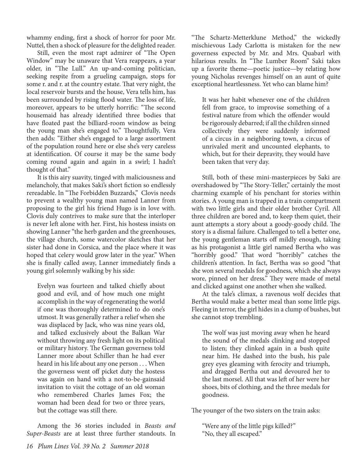whammy ending, first a shock of horror for poor Mr. Nuttel, then a shock of pleasure for the delighted reader.

Still, even the most rapt admirer of "The Open Window" may be unaware that Vera reappears, a year older, in "The Lull." An up-and-coming politician, seeking respite from a grueling campaign, stops for some r. and r. at the country estate. That very night, the local reservoir bursts and the house, Vera tells him, has been surrounded by rising flood water. The loss of life, moreover, appears to be utterly horrific: "The second housemaid has already identified three bodies that have floated past the billiard-room window as being the young man she's engaged to." Thoughtfully, Vera then adds: "Either she's engaged to a large assortment of the population round here or else she's very careless at identification. Of course it may be the same body coming round again and again in a swirl; I hadn't thought of that."

It is this airy suavity, tinged with maliciousness and melancholy, that makes Saki's short fiction so endlessly rereadable. In "The Forbidden Buzzards," Clovis needs to prevent a wealthy young man named Lanner from proposing to the girl his friend Hugo is in love with. Clovis duly contrives to make sure that the interloper is never left alone with her. First, his hostess insists on showing Lanner "the herb garden and the greenhouses, the village church, some watercolor sketches that her sister had done in Corsica, and the place where it was hoped that celery would grow later in the year." When she is finally called away, Lanner immediately finds a young girl solemnly walking by his side:

Evelyn was fourteen and talked chiefly about good and evil, and of how much one might accomplish in the way of regenerating the world if one was thoroughly determined to do one's utmost. It was generally rather a relief when she was displaced by Jack, who was nine years old, and talked exclusively about the Balkan War without throwing any fresh light on its political or military history. The German governess told Lanner more about Schiller than he had ever heard in his life about any one person . . . When the governess went off picket duty the hostess was again on hand with a not-to-be-gainsaid invitation to visit the cottage of an old woman who remembered Charles James Fox; the woman had been dead for two or three years, but the cottage was still there.

Among the 36 stories included in *Beasts and Super-Beasts* are at least three further standouts. In

"The Schartz-Metterklune Method," the wickedly mischievous Lady Carlotta is mistaken for the new governess expected by Mr. and Mrs. Quabarl with hilarious results. In "The Lumber Room" Saki takes up a favorite theme—poetic justice—by relating how young Nicholas revenges himself on an aunt of quite exceptional heartlessness. Yet who can blame him?

It was her habit whenever one of the children fell from grace, to improvise something of a festival nature from which the offender would be rigorously debarred; if all the children sinned collectively they were suddenly informed of a circus in a neighboring town, a circus of unrivaled merit and uncounted elephants, to which, but for their depravity, they would have been taken that very day.

Still, both of these mini-masterpieces by Saki are overshadowed by "The Story-Teller," certainly the most charming example of his penchant for stories within stories. A young man is trapped in a train compartment with two little girls and their older brother Cyril. All three children are bored and, to keep them quiet, their aunt attempts a story about a goody-goody child. The story is a dismal failure. Challenged to tell a better one, the young gentleman starts off mildly enough, taking as his protagonist a little girl named Bertha who was "horribly good." That word "horribly" catches the children's attention. In fact, Bertha was so good "that she won several medals for goodness, which she always wore, pinned on her dress." They were made of metal and clicked against one another when she walked.

At the tale's climax, a ravenous wolf decides that Bertha would make a better meal than some little pigs. Fleeing in terror, the girl hides in a clump of bushes, but she cannot stop trembling.

The wolf was just moving away when he heard the sound of the medals clinking and stopped to listen; they clinked again in a bush quite near him. He dashed into the bush, his pale grey eyes gleaming with ferocity and triumph, and dragged Bertha out and devoured her to the last morsel. All that was left of her were her shoes, bits of clothing, and the three medals for goodness.

The younger of the two sisters on the train asks:

"Were any of the little pigs killed?" "No, they all escaped."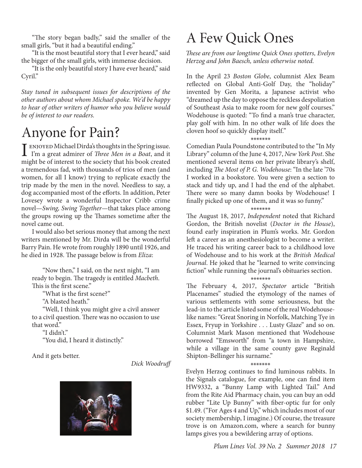"The story began badly," said the smaller of the small girls, "but it had a beautiful ending."

"It is the most beautiful story that I ever heard," said the bigger of the small girls, with immense decision.

"It is the only beautiful story I have ever heard," said Cyril."

*Stay tuned in subsequent issues for descriptions of the other authors about whom Michael spoke. We'd be happy to hear of other writers of humor who you believe would be of interest to our readers.*

## Anyone for Pain?

I enjoyed Michael Dirda's thoughts in the Spring issue. I'm a great admirer of *Three Men in a Boat*, and it might be of interest to the society that his book created a tremendous fad, with thousands of trios of men (and women, for all I know) trying to replicate exactly the trip made by the men in the novel. Needless to say, a dog accompanied most of the efforts. In addition, Peter Lovesey wrote a wonderful Inspector Cribb crime novel—*Swing, Swing Together*—that takes place among the groups rowing up the Thames sometime after the novel came out.

I would also bet serious money that among the next writers mentioned by Mr. Dirda will be the wonderful Barry Pain. He wrote from roughly 1890 until 1926, and he died in 1928. The passage below is from *Eliza*:

"Now then," I said, on the next night, "I am ready to begin. The tragedy is entitled *Macbeth*. This is the first scene."

"What is the first scene?"

"A blasted heath."

"Well, I think you might give a civil answer to a civil question. There was no occasion to use that word."

"I didn't."

"You did, I heard it distinctly."

And it gets better.

*Dick Woodruff*



## A Few Quick Ones

*These are from our longtime Quick Ones spotters, Evelyn Herzog and John Baesch, unless otherwise noted.*

In the April 23 *Boston Globe*, columnist Alex Beam reflected on Global Anti-Golf Day, the "holiday" invented by Gen Morita, a Japanese activist who "dreamed up the day to oppose the reckless despoliation of Southeast Asia to make room for new golf courses." Wodehouse is quoted: "To find a man's true character, play golf with him. In no other walk of life does the cloven hoof so quickly display itself."

\*\*\*\*\*\*\* Comedian Paula Poundstone contributed to the "In My Library" column of the June 4, 2017, *New York Post*. She mentioned several items on her private library's shelf, including *The Most of P. G. Wodehouse*: "In the late '70s I worked in a bookstore. You were given a section to stack and tidy up, and I had the end of the alphabet. There were so many damn books by Wodehouse! I finally picked up one of them, and it was so funny."

\*\*\*\*\*\*\* The August 18, 2017, *Independent* noted that Richard Gordon, the British novelist (*Doctor in the House*), found early inspiration in Plum's works. Mr. Gordon left a career as an anesthesiologist to become a writer. He traced his writing career back to a childhood love of Wodehouse and to his work at the *British Medical Journal*. He joked that he "learned to write convincing fiction" while running the journal's obituaries section.

\*\*\*\*\*\*\* The February 4, 2017, *Spectator* article "British Placenames" studied the etymology of the names of various settlements with some seriousness, but the lead-in to the article listed some of the real Wodehouselike names: "Great Snoring in Norfolk, Matching Tye in Essex, Fryup in Yorkshire . . . Lusty Glaze" and so on. Columnist Mark Mason mentioned that Wodehouse borrowed "Emsworth" from "a town in Hampshire, while a village in the same county gave Reginald Shipton-Bellinger his surname."

\*\*\*\*\*\*\* Evelyn Herzog continues to find luminous rabbits. In the Signals catalogue, for example, one can find item HW9332, a "Bunny Lamp with Lighted Tail." And from the Rite Aid Pharmacy chain, you can buy an odd rubber "Lite Up Bunny" with fiber-optic fur for only \$1.49. ("For Ages 4 and Up," which includes most of our society membership, I imagine.) Of course, the treasure trove is on Amazon.com, where a search for bunny lamps gives you a bewildering array of options.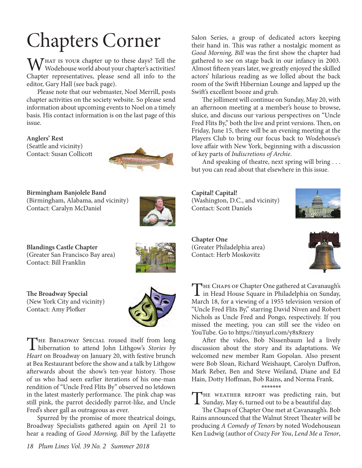$M_{\rm W}$ HAT is your chapter up to these days? Tell the Wodehouse world about your chapter's activities! Chapter representatives, please send all info to the editor, Gary Hall (see back page).

Please note that our webmaster, Noel Merrill, posts chapter activities on the society website. So please send information about upcoming events to Noel on a timely basis. His contact information is on the last page of this issue.

**Anglers' Rest** (Seattle and vicinity) Contact: Susan Collicott



**Birmingham Banjolele Band** (Birmingham, Alabama, and vicinity)

Contact: Caralyn McDaniel



**Blandings Castle Chapter** (Greater San Francisco Bay area) Contact: Bill Franklin



**The Broadway Special** (New York City and vicinity) Contact: Amy Plofker



THE BROADWAY SPECIAL roused itself from long<br>hibernation to attend John Lithgow's *Stories by Heart* on Broadway on January 20, with festive brunch at Bea Restaurant before the show and a talk by Lithgow afterwards about the show's ten-year history. Those of us who had seen earlier iterations of his one-man rendition of "Uncle Fred Flits By" observed no letdown in the latest masterly performance. The pink chap was still pink, the parrot decidedly parrot-like, and Uncle Fred's sheer gall as outrageous as ever.

Spurred by the promise of more theatrical doings, Broadway Specialists gathered again on April 21 to hear a reading of *Good Morning, Bill* by the Lafayette

Chapters Corner Salon Series, a group of dedicated actors keeping<br>their hand in. This was rather a nostalgic moment as their hand in. This was rather a nostalgic moment as *Good Morning, Bill* was the first show the chapter had gathered to see on stage back in our infancy in 2003. Almost fifteen years later, we greatly enjoyed the skilled actors' hilarious reading as we lolled about the back room of the Swift Hibernian Lounge and lapped up the Swift's excellent booze and grub.

> The jolliment will continue on Sunday, May 20, with an afternoon meeting at a member's house to browse, sluice, and discuss our various perspectives on "Uncle Fred Flits By," both the live and print versions. Then, on Friday, June 15, there will be an evening meeting at the Players Club to bring our focus back to Wodehouse's love affair with New York, beginning with a discussion of key parts of *Indiscretions of Archie*.

> And speaking of theatre, next spring will bring . . . but you can read about that elsewhere in this issue.

**Capital! Capital!**  (Washington, D.C., and vicinity) Contact: Scott Daniels



**Chapter One**  (Greater Philadelphia area) Contact: Herb Moskovitz



THE CHAPS OF Chapter One gathered at Cavanaugh's<br>in Head House Square in Philadelphia on Sunday, March 18, for a viewing of a 1955 television version of "Uncle Fred Flits By," starring David Niven and Robert Nichols as Uncle Fred and Pongo, respectively. If you missed the meeting, you can still see the video on YouTube. Go to https://tinyurl.com/y8x8zezy

After the video, Bob Nissenbaum led a lively discussion about the story and its adaptations. We welcomed new member Ram Gopolan. Also present were Bob Sloan, Richard Weishaupt, Carolyn Daffron, Mark Reber, Ben and Steve Weiland, Diane and Ed Hain, Dotty Hoffman, Bob Rains, and Norma Frank.

#### \*\*\*\*\*\*\*

THE WEATHER REPORT was predicting rain, but  $\perp$  Sunday, May 6, turned out to be a beautiful day.

The Chaps of Chapter One met at Cavanaugh's. Bob Rains announced that the Walnut Street Theater will be producing *A Comedy of Tenors* by noted Wodehousean Ken Ludwig (author of *Crazy For You*, *Lend Me a Tenor*,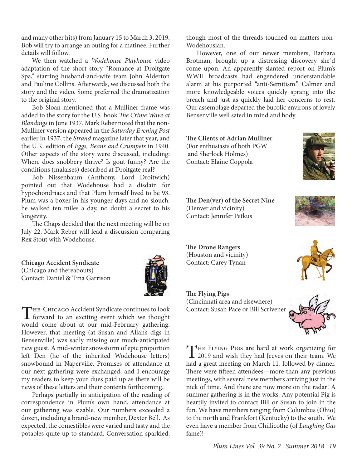and many other hits) from January 15 to March 3, 2019. Bob will try to arrange an outing for a matinee. Further details will follow.

We then watched a *Wodehouse Playhous*e video adaptation of the short story "Romance at Droitgate Spa," starring husband-and-wife team John Alderton and Pauline Collins. Afterwards, we discussed both the story and the video. Some preferred the dramatization to the original story.

Bob Sloan mentioned that a Mulliner frame was added to the story for the U.S. book *The Crime Wave at Blandings* in June 1937. Mark Reber noted that the non-Mulliner version appeared in the *Saturday Evening Post* earlier in 1937, the *Strand* magazine later that year, and the U.K. edition of *Eggs, Beans and Crumpets* in 1940. Other aspects of the story were discussed, including: Where does snobbery thrive? Is gout funny? Are the conditions (malaises) described at Droitgate real?

Bob Nissenbaum (Anthony, Lord Droitwich) pointed out that Wodehouse had a disdain for hypochondriacs and that Plum himself lived to be 93. Plum was a boxer in his younger days and no slouch: he walked ten miles a day, no doubt a secret to his longevity.

The Chaps decided that the next meeting will be on July 22. Mark Reber will lead a discussion comparing Rex Stout with Wodehouse.

**Chicago Accident Syndicate** (Chicago and thereabouts) Contact: Daniel & Tina Garrison



THE CHICAGO Accident Syndicate continues to look<br>forward to an exciting event which we thought would come about at our mid-February gathering. However, that meeting (at Susan and Allan's digs in Bensenville) was sadly missing our much-anticipated new guest. A mid-winter snowstorm of epic proportion left Den (he of the inherited Wodehouse letters) snowbound in Naperville. Promises of attendance at our next gathering were exchanged, and I encourage my readers to keep your dues paid up as there will be news of these letters and their contents forthcoming.

Perhaps partially in anticipation of the reading of correspondence in Plum's own hand, attendance at our gathering was sizable. Our numbers exceeded a dozen, including a brand-new member, Dexter Bell. As expected, the comestibles were varied and tasty and the potables quite up to standard. Conversation sparkled,

though most of the threads touched on matters non-Wodehousian.

However, one of our newer members, Barbara Brotman, brought up a distressing discovery she'd come upon. An apparently slanted report on Plum's WWII broadcasts had engendered understandable alarm at his purported "anti-Semitism." Calmer and more knowledgeable voices quickly sprang into the breach and just as quickly laid her concerns to rest. Our assemblage departed the bucolic environs of lovely Bensenville well sated in mind and body.

**The Clients of Adrian Mulliner** (For enthusiasts of both PGW and Sherlock Holmes) Contact: Elaine Coppola



**The Den(ver) of the Secret Nine** (Denver and vicinity) Contact: Jennifer Petkus

**The Drone Rangers** (Houston and vicinity) Contact: Carey Tynan

**The Flying Pigs** (Cincinnati area and elsewhere) Contact: Susan Pace or Bill Scrivener



THE FLYING PIGS are hard at work organizing for<br>2019 and wish they had Jeeves on their team. We had a great meeting on March 11, followed by dinner. There were fifteen attendees—more than any previous meetings, with several new members arriving just in the nick of time. And there are now more on the radar! A summer gathering is in the works. Any potential Pig is heartily invited to contact Bill or Susan to join in the fun. We have members ranging from Columbus (Ohio) to the north and Frankfort (Kentucky) to the south. We even have a member from Chillicothe (of *Laughing Gas*  fame)!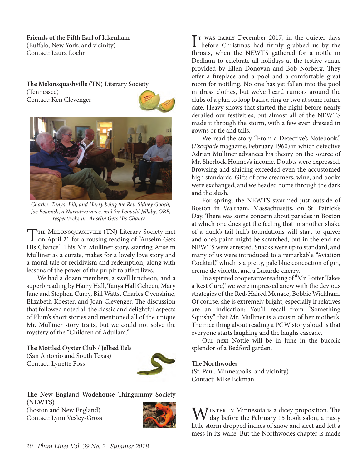**Friends of the Fifth Earl of Ickenham** (Buffalo, New York, and vicinity) Contact: Laura Loehr

**The Melonsquashville (TN) Literary Society** (Tennessee) Contact: Ken Clevenger





*Charles, Tanya, Bill, and Harry being the Rev. Sidney Gooch, Joe Beamish, a Narrative voice, and Sir Leopold Jellaby, OBE, respectively, in "Anselm Gets His Chance."*

THE MELONSQUASHVILE (TN) Literary Society met<br>on April 21 for a rousing reading of "Anselm Gets" His Chance." This Mr. Mulliner story, starring Anselm Mulliner as a curate, makes for a lovely love story and a moral tale of recidivism and redemption, along with lessons of the power of the pulpit to affect lives.

We had a dozen members, a swell luncheon, and a superb reading by Harry Hall, Tanya Hall Geheen, Mary Jane and Stephen Curry, Bill Watts, Charles Ovenshine, Elizabeth Koester, and Joan Clevenger. The discussion that followed noted all the classic and delightful aspects of Plum's short stories and mentioned all of the unique Mr. Mulliner story traits, but we could not solve the mystery of the "Children of Adullam."

**The Mottled Oyster Club / Jellied Eels** (San Antonio and South Texas) Contact: Lynette Poss



**The New England Wodehouse Thingummy Society (NEWTS)** (Boston and New England) Contact: Lynn Vesley-Gross



T WAS EARLY December 2017, in the quieter days<br>before Christmas had firmly grabbed us by the T was EARLY December 2017, in the quieter days throats, when the NEWTS gathered for a nottle in Dedham to celebrate all holidays at the festive venue provided by Ellen Donovan and Bob Norberg. They offer a fireplace and a pool and a comfortable great room for nottling. No one has yet fallen into the pool in dress clothes, but we've heard rumors around the clubs of a plan to loop back a ring or two at some future date. Heavy snows that started the night before nearly derailed our festivities, but almost all of the NEWTS made it through the storm, with a few even dressed in gowns or tie and tails.

We read the story "From a Detective's Notebook," (*Escapade* magazine, February 1960) in which detective Adrian Mulliner advances his theory on the source of Mr. Sherlock Holmes's income. Doubts were expressed. Browsing and sluicing exceeded even the accustomed high standards. Gifts of cow creamers, wine, and books were exchanged, and we headed home through the dark and the slush.

For spring, the NEWTS swarmed just outside of Boston in Waltham, Massachusetts, on St. Patrick's Day. There was some concern about parades in Boston at which one does get the feeling that in another shake of a duck's tail hell's foundations will start to quiver and one's paint might be scratched, but in the end no NEWTS were arrested. Snacks were up to standard, and many of us were introduced to a remarkable "Aviation Cocktail," which is a pretty, pale blue concoction of gin, crème de violette, and a Luxardo cherry.

In a spirited cooperative reading of "Mr. Potter Takes a Rest Cure," we were impressed anew with the devious strategies of the Red-Haired Menace, Bobbie Wickham. Of course, she is extremely bright, especially if relatives are an indication: You'll recall from "Something Squishy" that Mr. Mulliner is a cousin of her mother's. The nice thing about reading a PGW story aloud is that everyone starts laughing and the laughs cascade.

Our next Nottle will be in June in the bucolic splendor of a Bedford garden.

#### **The Northwodes**

(St. Paul, Minneapolis, and vicinity) Contact: Mike Eckman

 $\overline{I}$  INTER IN Minnesota is a dicey proposition. The day before the February 15 book salon, a nasty little storm dropped inches of snow and sleet and left a mess in its wake. But the Northwodes chapter is made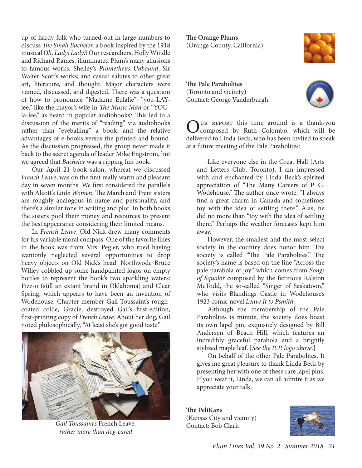up of hardy folk who turned out in large numbers to discuss *The Small Bachelor,* a book inspired by the 1918 musical *Oh, Lady! Lady!!* Our researchers, Holly Windle and Richard Rames, illuminated Plum's many allusions to famous works: Shelley's *Prometheus Unbound*; Sir Walter Scott's works; and casual salutes to other great art, literature, and thought. Major characters were named, discussed, and digested. There was a question of how to pronounce "Madame Eulalie": "you-LAYlee," like the mayor's wife in *The Music Man* or "YOUla-lee," as heard in popular audiobooks? This led to a discussion of the merits of "reading" via audiobooks rather than "eyeballing" a book, and the relative advantages of e-books versus the printed and bound. As the discussion progressed, the group never made it back to the secret agenda of leader Mike Engstrom, but we agreed that *Bachelor* was a ripping fun book.

Our April 21 book salon, whereat we discussed *French Leave*, was on the first really warm and pleasant day in seven months. We first considered the parallels with Alcott's *Little Women*. The March and Trent sisters are roughly analogous in name and personality, and there's a similar tone in writing and plot. In both books the sisters pool their money and resources to present the best appearance considering their limited means.

In *French Leave*, Old Nick drew many comments for his variable moral compass. One of the favorite lines in the book was from Mrs. Pegler, who rued having wantonly neglected several opportunities to drop heavy objects on Old Nick's head. Northwode Bruce Willey cobbled up some handpainted logos on empty bottles to represent the book's two sparkling waters: Fizz-o (still an extant brand in Oklahoma) and Clear Spring, which appears to have been an invention of Wodehouse. Chapter member Gail Toussaint's roughcoated collie, Gracie, destroyed Gail's first-edition, first-printing copy of *French Leave*. About her dog, Gail noted philosophically, "At least she's got good taste."



*Gail Toussaint's* French Leave*, rather more than dog-eared*

**The Orange Plums** (Orange County, California)

**The Pale Parabolites** (Toronto and vicinity) Contact: George Vanderburgh





OUR REPORT this time around is a thank-you<br>composed by Ruth Colombo, which will be<br>delivered to United Replacements to the mode delivered to Linda Beck, who has been invited to speak at a future meeting of the Pale Parabolites:

Like everyone else in the Great Hall (Arts and Letters Club, Toronto), I am impressed with and enchanted by Linda Beck's spirited appreciation of "The Many Careers of P. G. Wodehouse." The author once wrote, "I always find a great charm in Canada and sometimes toy with the idea of settling there." Alas, he did no more than "toy with the idea of settling there." Perhaps the weather forecasts kept him away.

However, the smallest and the most select society in the country does honor him. The society is called "The Pale Parabolites." The society's name is based on the line "Across the pale parabola of joy" which comes from *Songs of Squalor* composed by the fictitious Ralston McTodd, the so-called "Singer of Saskatoon," who visits Blandings Castle in Wodehouse's 1923 comic novel *Leave It to Psmith*.

Although the membership of the Pale Parabolites is minute, the society does boast its own lapel pin, exquisitely designed by Bill Andersen of Beach Hill, which features an incredibly graceful parabola and a brightly stylized maple leaf. [*See the P. P. logo above.*]

On behalf of the other Pale Parabolites, It gives me great pleasure to thank Linda Beck by presenting her with one of these rare lapel pins. If you wear it, Linda, we can all admire it as we appreciate your talk.

**The PeliKans** (Kansas City and vicinity) Contact: Bob Clark

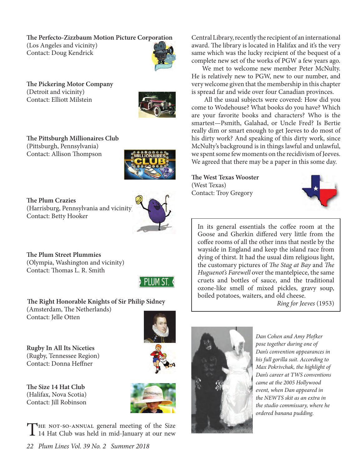**The Perfecto-Zizzbaum Motion Picture Corporation**

(Los Angeles and vicinity) Contact: Doug Kendrick



**The Pickering Motor Company** (Detroit and vicinity) Contact: Elliott Milstein



**The Pittsburgh Millionaires Club** (Pittsburgh, Pennsylvania) Contact: Allison Thompson



**The Plum Crazies** (Harrisburg, Pennsylvania and vicinity) Contact: Betty Hooker



**The Plum Street Plummies** (Olympia, Washington and vicinity) Contact: Thomas L. R. Smith



 **The Right Honorable Knights of Sir Philip Sidney** (Amsterdam, The Netherlands) Contact: Jelle Otten

**Rugby In All Its Niceties** (Rugby, Tennessee Region) Contact: Donna Heffner

**The Size 14 Hat Club** (Halifax, Nova Scotia) Contact: Jill Robinson



THE NOT-SO-ANNUAL general meeting of the Size<br>14 Hat Club was held in mid-January at our new

*22 Plum Lines Vol. 39 No. 2 Summer 2018*

Central Library, recently the recipient of an international award. The library is located in Halifax and it's the very same which was the lucky recipient of the bequest of a complete new set of the works of PGW a few years ago.

We met to welcome new member Peter McNulty. He is relatively new to PGW, new to our number, and very welcome given that the membership in this chapter is spread far and wide over four Canadian provinces.

 All the usual subjects were covered: How did you come to Wodehouse? What books do you have? Which are your favorite books and characters? Who is the smartest—Psmith, Galahad, or Uncle Fred? Is Bertie really dim or smart enough to get Jeeves to do most of his dirty work? And speaking of this dirty work, since McNulty's background is in things lawful and unlawful, we spent some few moments on the recidivism of Jeeves. We agreed that there may be a paper in this some day.

**The West Texas Wooster** (West Texas) Contact: Troy Gregory



In its general essentials the coffee room at the Goose and Gherkin differed very little from the coffee rooms of all the other inns that nestle by the wayside in England and keep the island race from dying of thirst. It had the usual dim religious light, the customary pictures of *The Stag at Bay* and *The Huguenot's Farewell* over the mantelpiece, the same cruets and bottles of sauce, and the traditional ozone-like smell of mixed pickles, gravy soup, boiled potatoes, waiters, and old cheese.

*Ring for Jeeves* (1953)



*Dan Cohen and Amy Plofker pose together during one of Dan's convention appearances in his full gorilla suit. According to Max Pokrivchak, the highlight of Dan's career at TWS conventions came at the 2005 Hollywood event, when Dan appeared in the NEWTS skit as an extra in the studio commissary, where he ordered banana pudding.*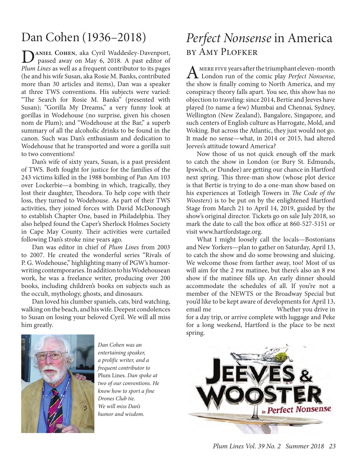**by AMY PLOFKER**<br>
passed away on May 6, 2018. A past editor of<br>
Play Line consulter from the training of the past of the past of the property of the past of the past of the past of the past of the past of the past of the p *Plum Lines* as well as a frequent contributor to its pages (he and his wife Susan, aka Rosie M. Banks, contributed more than 30 articles and items), Dan was a speaker at three TWS conventions. His subjects were varied: "The Search for Rosie M. Banks" (presented with Susan); "Gorilla My Dreams," a very funny look at gorillas in Wodehouse (no surprise, given his chosen nom de Plum); and "Wodehouse at the Bar," a superb summary of all the alcoholic drinks to be found in the canon. Such was Dan's enthusiasm and dedication to Wodehouse that he transported and wore a gorilla suit to two conventions!

Dan's wife of sixty years, Susan, is a past president of TWS. Both fought for justice for the families of the 243 victims killed in the 1988 bombing of Pan Am 103 over Lockerbie—a bombing in which, tragically, they lost their daughter, Theodora. To help cope with their loss, they turned to Wodehouse. As part of their TWS activities, they joined forces with David McDonough to establish Chapter One, based in Philadelphia. They also helped found the Caper's Sherlock Holmes Society in Cape May County. Their activities were curtailed following Dan's stroke nine years ago.

Dan was editor in chief of *Plum Lines* from 2003 to 2007. He created the wonderful series "Rivals of P. G. Wodehouse," highlighting many of PGW's humorwriting contemporaries. In addition to his Wodehousean work, he was a freelance writer, producing over 200 books, including children's books on subjects such as the occult, mythology, ghosts, and dinosaurs.

Dan loved his clumber spaniels, cats, bird watching, walking on the beach, and his wife. Deepest condolences to Susan on losing your beloved Cyril. We will all miss him greatly.



*Dan Cohen was an entertaining speaker, a prolific writer, and a frequent contributor to*  Plum Lines*. Dan spoke at two of our conventions. He know how to sport a fine Drones Club tie. We will miss Dan's humor and wisdom.*

# Dan Cohen (1936–2018) *Perfect Nonsense* in America

A mere five years after the triumphant eleven-month London run of the comic play *Perfect Nonsense*, the show is finally coming to North America, and my conspiracy theory falls apart. You see, this show has no objection to traveling: since 2014, Bertie and Jeeves have played (to name a few) Mumbai and Chennai, Sydney, Wellington (New Zealand), Bangalore, Singapore, and such centers of English culture as Harrogate, Mold, and Woking. But across the Atlantic, they just would not go. It made no sense—what, in 2014 or 2015, had altered Jeeves's attitude toward America?

Now those of us not quick enough off the mark to catch the show in London (or Bury St. Edmunds, Ipswich, or Dundee) are getting our chance in Hartford next spring. This three-man show (whose plot device is that Bertie is trying to do a one-man show based on his experiences at Totleigh Towers in *The Code of the Woosters*) is to be put on by the enlightened Hartford Stage from March 21 to April 14, 2019, guided by the show's original director. Tickets go on sale July 2018, so mark the date to call the box office at 860-527-5151 or visit www.hartfordstage.org.

What I might loosely call the locals—Bostonians and New Yorkers—plan to gather on Saturday, April 13, to catch the show and do some browsing and sluicing. We welcome those from farther away, too! Most of us will aim for the 2 pm matinee, but there's also an 8 pm show if the matinee fills up. An early dinner should accommodate the schedules of all. If you're not a member of the NEWTS or the Broadway Special but you'd like to be kept aware of developments for April 13, email me at a whether you drive in for a day trip, or arrive complete with luggage and Peke for a long weekend, Hartford is the place to be next